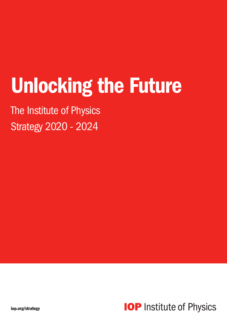# Unlocking the Future

The Institute of Physics Strategy 2020 - 2024

**IOP** Institute of Physics

iop.org/strategy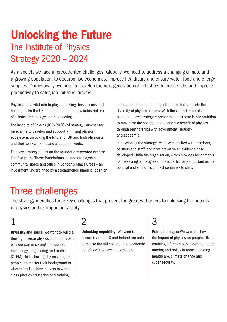# Unlocking the Future The Institute of Physics Strategy 2020 – 2024

As a society we face unprecedented challenges. Globally, we need to address a changing climate and a growing population, to decarbonise economies, improve healthcare and ensure water, food and energy supplies. Domestically, we need to develop the next generation of industries to create jobs and improve productivity to safeguard citizens' futures.

Physics has a vital role to play in tackling these issues and helping make the UK and Ireland fit for a new industrial era of science, technology and engineering.

The Institute of Physics (IOP) 2020-24 strategy, summarised here, aims to develop and support a thriving physics ecosystem, unlocking the future for UK and Irish physicists and their work at home and around the world.

The new strategy builds on the foundations created over the last five years. These foundations include our flagship community space and office in London's King's Cross – an investment underpinned by a strengthened financial position – and a modern membership structure that supports the diversity of physics careers. With these fundamentals in place, the new strategy represents an increase in our ambition to maximise the societal and economic benefit of physics through partnerships with government, industry and academia.

In developing the strategy, we have consulted with members, partners and staff, and have drawn on an evidence base developed within the organisation, which provides benchmarks for measuring our progress. This is particularly important as the political and economic context continues to shift.

## Three challenges

The strategy identifies three key challenges that present the greatest barriers to unlocking the potential of physics and its impact in society:

# 1

Diversity and skills: We want to build a thriving, diverse physics community and play our part in solving the science, technology, engineering and maths (STEM) skills shortage by ensuring that people, no matter their background or where they live, have access to worldclass physics education and training.

### $\bm{\mathcal{V}}$

Unlocking capability: We want to ensure that the UK and Ireland are able to realise the full societal and economic benefits of the new industrial era.

# 3

Public dialogue: We want to show the impact of physics on people's lives, enabling informed public debate about funding and policy in areas including healthcare, climate change and cyber security.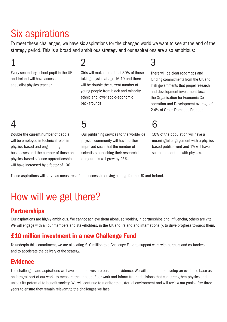# Six aspirations

To meet these challenges, we have six aspirations for the changed world we want to see at the end of the strategy period. This is a broad and ambitious strategy and our aspirations are also ambitious:

# 1

Every secondary school pupil in the UK and Ireland will have access to a specialist physics teacher.

### 2

Girls will make up at least 30% of those taking physics at age 16-19 and there will be double the current number of young people from black and minority ethnic and lower socio-economic backgrounds.

### 4

Double the current number of people will be employed in technical roles in physics-based and engineering businesses and the number of those on physics-based science apprenticeships will have increased by a factor of 100.

### 5

Our publishing services to the worldwide physics community will have further improved such that the number of scientists publishing their research in our journals will grow by 25%.

### 3

There will be clear roadmaps and funding commitments from the UK and Irish governments that propel research and development investment towards the Organisation for Economic Cooperation and Development average of 2.4% of Gross Domestic Product.

6

10% of the population will have a meaningful engagement with a physicsbased public event and 1% will have sustained contact with physics.

These aspirations will serve as measures of our success in driving change for the UK and Ireland.

# How will we get there?

#### **Partnerships**

Our aspirations are highly ambitious. We cannot achieve them alone, so working in partnerships and influencing others are vital. We will engage with all our members and stakeholders, in the UK and Ireland and internationally, to drive progress towards them.

### £10 million investment in a new Challenge Fund

To underpin this commitment, we are allocating £10 million to a Challenge Fund to support work with partners and co-funders, and to accelerate the delivery of the strategy.

#### Evidence

The challenges and aspirations we have set ourselves are based on evidence. We will continue to develop an evidence base as an integral part of our work, to measure the impact of our work and inform future decisions that can strengthen physics and unlock its potential to benefit society. We will continue to monitor the external environment and will review our goals after three years to ensure they remain relevant to the challenges we face.